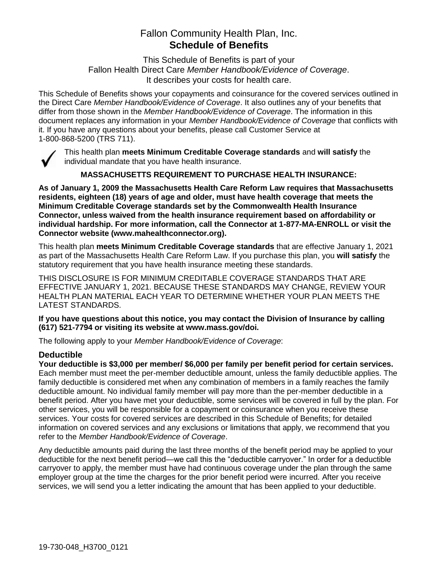# Fallon Community Health Plan, Inc. **Schedule of Benefits**

This Schedule of Benefits is part of your Fallon Health Direct Care *Member Handbook/Evidence of Coverage*. It describes your costs for health care.

This Schedule of Benefits shows your copayments and coinsurance for the covered services outlined in the Direct Care *Member Handbook/Evidence of Coverage*. It also outlines any of your benefits that differ from those shown in the *Member Handbook/Evidence of Coverage*. The information in this document replaces any information in your *Member Handbook/Evidence of Coverage* that conflicts with it. If you have any questions about your benefits, please call Customer Service at 1-800-868-5200 (TRS 711).



This health plan **meets Minimum Creditable Coverage standards** and **will satisfy** the individual mandate that you have health insurance.

**MASSACHUSETTS REQUIREMENT TO PURCHASE HEALTH INSURANCE:**

**As of January 1, 2009 the Massachusetts Health Care Reform Law requires that Massachusetts residents, eighteen (18) years of age and older, must have health coverage that meets the Minimum Creditable Coverage standards set by the Commonwealth Health Insurance Connector, unless waived from the health insurance requirement based on affordability or individual hardship. For more information, call the Connector at 1-877-MA-ENROLL or visit the Connector website (www.mahealthconnector.org).**

This health plan **meets Minimum Creditable Coverage standards** that are effective January 1, 2021 as part of the Massachusetts Health Care Reform Law. If you purchase this plan, you **will satisfy** the statutory requirement that you have health insurance meeting these standards.

THIS DISCLOSURE IS FOR MINIMUM CREDITABLE COVERAGE STANDARDS THAT ARE EFFECTIVE JANUARY 1, 2021. BECAUSE THESE STANDARDS MAY CHANGE, REVIEW YOUR HEALTH PLAN MATERIAL EACH YEAR TO DETERMINE WHETHER YOUR PLAN MEETS THE LATEST STANDARDS.

**If you have questions about this notice, you may contact the Division of Insurance by calling (617) 521-7794 or visiting its website at www.mass.gov/doi.** 

The following apply to your *Member Handbook/Evidence of Coverage*:

# **Deductible**

**Your deductible is \$3,000 per member/ \$6,000 per family per benefit period for certain services.** Each member must meet the per-member deductible amount, unless the family deductible applies. The family deductible is considered met when any combination of members in a family reaches the family deductible amount. No individual family member will pay more than the per-member deductible in a benefit period. After you have met your deductible, some services will be covered in full by the plan. For other services, you will be responsible for a copayment or coinsurance when you receive these services. Your costs for covered services are described in this Schedule of Benefits; for detailed information on covered services and any exclusions or limitations that apply, we recommend that you refer to the *Member Handbook/Evidence of Coverage*.

Any deductible amounts paid during the last three months of the benefit period may be applied to your deductible for the next benefit period—we call this the "deductible carryover." In order for a deductible carryover to apply, the member must have had continuous coverage under the plan through the same employer group at the time the charges for the prior benefit period were incurred. After you receive services, we will send you a letter indicating the amount that has been applied to your deductible.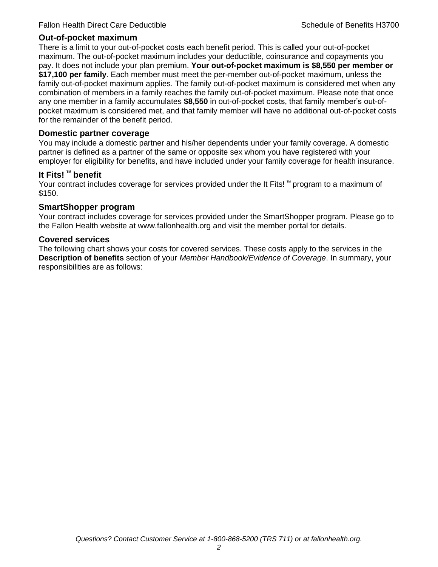#### **Out-of-pocket maximum**

There is a limit to your out-of-pocket costs each benefit period. This is called your out-of-pocket maximum. The out-of-pocket maximum includes your deductible, coinsurance and copayments you pay. It does not include your plan premium. **Your out-of-pocket maximum is \$8,550 per member or \$17,100 per family**. Each member must meet the per-member out-of-pocket maximum, unless the family out-of-pocket maximum applies. The family out-of-pocket maximum is considered met when any combination of members in a family reaches the family out-of-pocket maximum. Please note that once any one member in a family accumulates **\$8,550** in out-of-pocket costs, that family member's out-ofpocket maximum is considered met, and that family member will have no additional out-of-pocket costs for the remainder of the benefit period.

#### **Domestic partner coverage**

You may include a domestic partner and his/her dependents under your family coverage. A domestic partner is defined as a partner of the same or opposite sex whom you have registered with your employer for eligibility for benefits, and have included under your family coverage for health insurance.

## **It Fits! ™ benefit**

Your contract includes coverage for services provided under the It Fits! ™ program to a maximum of \$150.

## **SmartShopper program**

Your contract includes coverage for services provided under the SmartShopper program. Please go to the Fallon Health website at www.fallonhealth.org and visit the member portal for details.

#### **Covered services**

The following chart shows your costs for covered services. These costs apply to the services in the **Description of benefits** section of your *Member Handbook/Evidence of Coverage*. In summary, your responsibilities are as follows: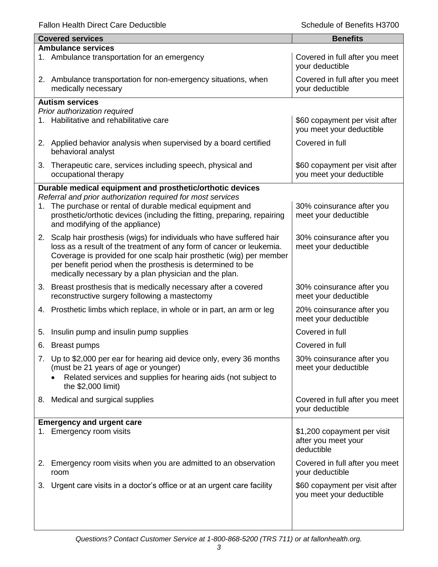Fallon Health Direct Care Deductible **Schedule of Benefits H3700** Schedule of Benefits H3700

|    | <b>Covered services</b>                                                                                     | <b>Benefits</b>                                            |
|----|-------------------------------------------------------------------------------------------------------------|------------------------------------------------------------|
|    | <b>Ambulance services</b>                                                                                   |                                                            |
|    | 1. Ambulance transportation for an emergency                                                                | Covered in full after you meet<br>your deductible          |
|    | 2. Ambulance transportation for non-emergency situations, when<br>medically necessary                       | Covered in full after you meet<br>your deductible          |
|    | <b>Autism services</b>                                                                                      |                                                            |
|    | Prior authorization required                                                                                |                                                            |
|    | 1. Habilitative and rehabilitative care                                                                     | \$60 copayment per visit after<br>you meet your deductible |
|    | 2. Applied behavior analysis when supervised by a board certified<br>behavioral analyst                     | Covered in full                                            |
| 3. | Therapeutic care, services including speech, physical and<br>occupational therapy                           | \$60 copayment per visit after<br>you meet your deductible |
|    | Durable medical equipment and prosthetic/orthotic devices                                                   |                                                            |
|    | Referral and prior authorization required for most services                                                 |                                                            |
|    | 1. The purchase or rental of durable medical equipment and                                                  | 30% coinsurance after you                                  |
|    | prosthetic/orthotic devices (including the fitting, preparing, repairing<br>and modifying of the appliance) | meet your deductible                                       |
|    | 2. Scalp hair prosthesis (wigs) for individuals who have suffered hair                                      | 30% coinsurance after you                                  |
|    | loss as a result of the treatment of any form of cancer or leukemia.                                        | meet your deductible                                       |
|    | Coverage is provided for one scalp hair prosthetic (wig) per member                                         |                                                            |
|    | per benefit period when the prosthesis is determined to be                                                  |                                                            |
|    | medically necessary by a plan physician and the plan.                                                       |                                                            |
|    | 3. Breast prosthesis that is medically necessary after a covered                                            | 30% coinsurance after you                                  |
|    | reconstructive surgery following a mastectomy                                                               | meet your deductible                                       |
| 4. | Prosthetic limbs which replace, in whole or in part, an arm or leg                                          | 20% coinsurance after you                                  |
|    |                                                                                                             | meet your deductible                                       |
| 5. | Insulin pump and insulin pump supplies                                                                      | Covered in full                                            |
|    | 6. Breast pumps                                                                                             | Covered in full                                            |
|    | 7. Up to \$2,000 per ear for hearing aid device only, every 36 months                                       | 30% coinsurance after you                                  |
|    | (must be 21 years of age or younger)                                                                        | meet your deductible                                       |
|    | Related services and supplies for hearing aids (not subject to                                              |                                                            |
|    | the \$2,000 limit)                                                                                          |                                                            |
|    | 8. Medical and surgical supplies                                                                            | Covered in full after you meet                             |
|    |                                                                                                             | your deductible                                            |
|    | <b>Emergency and urgent care</b>                                                                            |                                                            |
|    | 1. Emergency room visits                                                                                    | \$1,200 copayment per visit                                |
|    |                                                                                                             | after you meet your                                        |
|    |                                                                                                             | deductible                                                 |
|    | 2. Emergency room visits when you are admitted to an observation<br>room                                    | Covered in full after you meet<br>your deductible          |
|    |                                                                                                             |                                                            |
| 3. | Urgent care visits in a doctor's office or at an urgent care facility                                       | \$60 copayment per visit after                             |
|    |                                                                                                             | you meet your deductible                                   |
|    |                                                                                                             |                                                            |
|    |                                                                                                             |                                                            |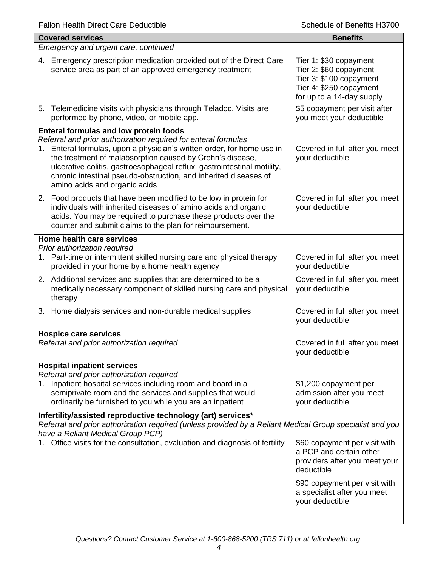|    | <b>Covered services</b>                                                                                                                                                                                                                                                                                                                                                               | <b>Benefits</b>                                                                                                                     |  |  |
|----|---------------------------------------------------------------------------------------------------------------------------------------------------------------------------------------------------------------------------------------------------------------------------------------------------------------------------------------------------------------------------------------|-------------------------------------------------------------------------------------------------------------------------------------|--|--|
|    | Emergency and urgent care, continued                                                                                                                                                                                                                                                                                                                                                  |                                                                                                                                     |  |  |
| 4. | Emergency prescription medication provided out of the Direct Care<br>service area as part of an approved emergency treatment                                                                                                                                                                                                                                                          | Tier 1: \$30 copayment<br>Tier 2: \$60 copayment<br>Tier 3: \$100 copayment<br>Tier 4: \$250 copayment<br>for up to a 14-day supply |  |  |
| 5. | Telemedicine visits with physicians through Teladoc. Visits are<br>performed by phone, video, or mobile app.                                                                                                                                                                                                                                                                          | \$5 copayment per visit after<br>you meet your deductible                                                                           |  |  |
|    | <b>Enteral formulas and low protein foods</b>                                                                                                                                                                                                                                                                                                                                         |                                                                                                                                     |  |  |
|    | Referral and prior authorization required for enteral formulas<br>1. Enteral formulas, upon a physician's written order, for home use in<br>the treatment of malabsorption caused by Crohn's disease,<br>ulcerative colitis, gastroesophageal reflux, gastrointestinal motility,<br>chronic intestinal pseudo-obstruction, and inherited diseases of<br>amino acids and organic acids | Covered in full after you meet<br>your deductible                                                                                   |  |  |
| 2. | Food products that have been modified to be low in protein for<br>individuals with inherited diseases of amino acids and organic<br>acids. You may be required to purchase these products over the<br>counter and submit claims to the plan for reimbursement.                                                                                                                        | Covered in full after you meet<br>your deductible                                                                                   |  |  |
|    | Home health care services                                                                                                                                                                                                                                                                                                                                                             |                                                                                                                                     |  |  |
| 1. | Prior authorization required<br>Part-time or intermittent skilled nursing care and physical therapy<br>provided in your home by a home health agency                                                                                                                                                                                                                                  | Covered in full after you meet<br>your deductible                                                                                   |  |  |
|    | 2. Additional services and supplies that are determined to be a<br>medically necessary component of skilled nursing care and physical<br>therapy                                                                                                                                                                                                                                      | Covered in full after you meet<br>your deductible                                                                                   |  |  |
|    | 3. Home dialysis services and non-durable medical supplies                                                                                                                                                                                                                                                                                                                            | Covered in full after you meet<br>your deductible                                                                                   |  |  |
|    | <b>Hospice care services</b>                                                                                                                                                                                                                                                                                                                                                          |                                                                                                                                     |  |  |
|    | Referral and prior authorization required                                                                                                                                                                                                                                                                                                                                             | Covered in full after you meet<br>your deductible                                                                                   |  |  |
|    | <b>Hospital inpatient services</b><br>Referral and prior authorization required                                                                                                                                                                                                                                                                                                       |                                                                                                                                     |  |  |
| 1. | Inpatient hospital services including room and board in a<br>semiprivate room and the services and supplies that would<br>ordinarily be furnished to you while you are an inpatient                                                                                                                                                                                                   | \$1,200 copayment per<br>admission after you meet<br>your deductible                                                                |  |  |
|    | Infertility/assisted reproductive technology (art) services*                                                                                                                                                                                                                                                                                                                          |                                                                                                                                     |  |  |
|    | Referral and prior authorization required (unless provided by a Reliant Medical Group specialist and you<br>have a Reliant Medical Group PCP)                                                                                                                                                                                                                                         |                                                                                                                                     |  |  |
|    | 1. Office visits for the consultation, evaluation and diagnosis of fertility                                                                                                                                                                                                                                                                                                          | \$60 copayment per visit with<br>a PCP and certain other<br>providers after you meet your<br>deductible                             |  |  |
|    |                                                                                                                                                                                                                                                                                                                                                                                       | \$90 copayment per visit with<br>a specialist after you meet<br>your deductible                                                     |  |  |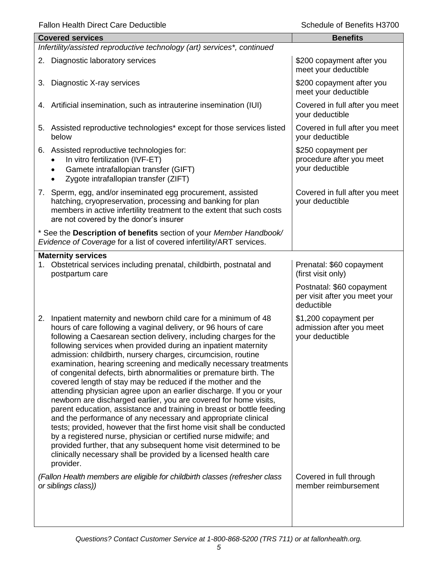|           | <b>Covered services</b>                                                                                                                                                                                                                                                                                                                                                                                                                                                                                                                                                                                                                                                                                                                                                                                                                                                                                                                                                                                                                                                                                                                     | <b>Benefits</b>                                                          |
|-----------|---------------------------------------------------------------------------------------------------------------------------------------------------------------------------------------------------------------------------------------------------------------------------------------------------------------------------------------------------------------------------------------------------------------------------------------------------------------------------------------------------------------------------------------------------------------------------------------------------------------------------------------------------------------------------------------------------------------------------------------------------------------------------------------------------------------------------------------------------------------------------------------------------------------------------------------------------------------------------------------------------------------------------------------------------------------------------------------------------------------------------------------------|--------------------------------------------------------------------------|
|           | Infertility/assisted reproductive technology (art) services*, continued                                                                                                                                                                                                                                                                                                                                                                                                                                                                                                                                                                                                                                                                                                                                                                                                                                                                                                                                                                                                                                                                     |                                                                          |
|           | 2. Diagnostic laboratory services                                                                                                                                                                                                                                                                                                                                                                                                                                                                                                                                                                                                                                                                                                                                                                                                                                                                                                                                                                                                                                                                                                           | \$200 copayment after you<br>meet your deductible                        |
|           | 3. Diagnostic X-ray services                                                                                                                                                                                                                                                                                                                                                                                                                                                                                                                                                                                                                                                                                                                                                                                                                                                                                                                                                                                                                                                                                                                | \$200 copayment after you<br>meet your deductible                        |
|           | 4. Artificial insemination, such as intrauterine insemination (IUI)                                                                                                                                                                                                                                                                                                                                                                                                                                                                                                                                                                                                                                                                                                                                                                                                                                                                                                                                                                                                                                                                         | Covered in full after you meet<br>your deductible                        |
|           | 5. Assisted reproductive technologies* except for those services listed<br>below                                                                                                                                                                                                                                                                                                                                                                                                                                                                                                                                                                                                                                                                                                                                                                                                                                                                                                                                                                                                                                                            | Covered in full after you meet<br>your deductible                        |
| $\bullet$ | 6. Assisted reproductive technologies for:<br>In vitro fertilization (IVF-ET)<br>Gamete intrafallopian transfer (GIFT)<br>Zygote intrafallopian transfer (ZIFT)                                                                                                                                                                                                                                                                                                                                                                                                                                                                                                                                                                                                                                                                                                                                                                                                                                                                                                                                                                             | \$250 copayment per<br>procedure after you meet<br>your deductible       |
|           | 7. Sperm, egg, and/or inseminated egg procurement, assisted<br>hatching, cryopreservation, processing and banking for plan<br>members in active infertility treatment to the extent that such costs<br>are not covered by the donor's insurer                                                                                                                                                                                                                                                                                                                                                                                                                                                                                                                                                                                                                                                                                                                                                                                                                                                                                               | Covered in full after you meet<br>your deductible                        |
|           | * See the Description of benefits section of your Member Handbook/<br>Evidence of Coverage for a list of covered infertility/ART services.                                                                                                                                                                                                                                                                                                                                                                                                                                                                                                                                                                                                                                                                                                                                                                                                                                                                                                                                                                                                  |                                                                          |
|           | <b>Maternity services</b>                                                                                                                                                                                                                                                                                                                                                                                                                                                                                                                                                                                                                                                                                                                                                                                                                                                                                                                                                                                                                                                                                                                   |                                                                          |
| 1.        | Obstetrical services including prenatal, childbirth, postnatal and<br>postpartum care                                                                                                                                                                                                                                                                                                                                                                                                                                                                                                                                                                                                                                                                                                                                                                                                                                                                                                                                                                                                                                                       | Prenatal: \$60 copayment<br>(first visit only)                           |
|           |                                                                                                                                                                                                                                                                                                                                                                                                                                                                                                                                                                                                                                                                                                                                                                                                                                                                                                                                                                                                                                                                                                                                             | Postnatal: \$60 copayment<br>per visit after you meet your<br>deductible |
| 2.        | Inpatient maternity and newborn child care for a minimum of 48<br>hours of care following a vaginal delivery, or 96 hours of care<br>following a Caesarean section delivery, including charges for the<br>following services when provided during an inpatient maternity<br>admission: childbirth, nursery charges, circumcision, routine<br>examination, hearing screening and medically necessary treatments<br>of congenital defects, birth abnormalities or premature birth. The<br>covered length of stay may be reduced if the mother and the<br>attending physician agree upon an earlier discharge. If you or your<br>newborn are discharged earlier, you are covered for home visits,<br>parent education, assistance and training in breast or bottle feeding<br>and the performance of any necessary and appropriate clinical<br>tests; provided, however that the first home visit shall be conducted<br>by a registered nurse, physician or certified nurse midwife; and<br>provided further, that any subsequent home visit determined to be<br>clinically necessary shall be provided by a licensed health care<br>provider. | \$1,200 copayment per<br>admission after you meet<br>your deductible     |
|           | (Fallon Health members are eligible for childbirth classes (refresher class<br>or siblings class))                                                                                                                                                                                                                                                                                                                                                                                                                                                                                                                                                                                                                                                                                                                                                                                                                                                                                                                                                                                                                                          | Covered in full through<br>member reimbursement                          |
|           |                                                                                                                                                                                                                                                                                                                                                                                                                                                                                                                                                                                                                                                                                                                                                                                                                                                                                                                                                                                                                                                                                                                                             |                                                                          |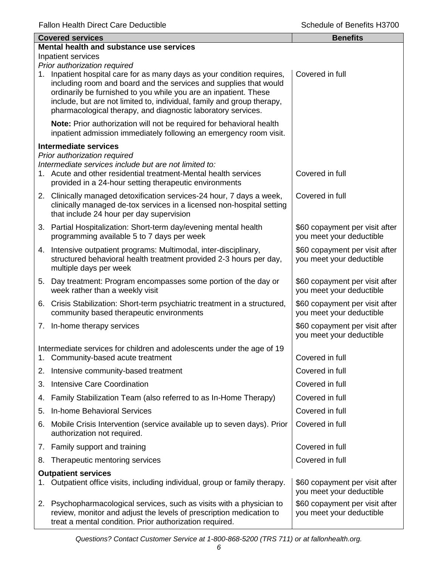|             | <b>Covered services</b>                                                                                                                                                                                                                                                                                                                                                                 | <b>Benefits</b>                                            |  |  |
|-------------|-----------------------------------------------------------------------------------------------------------------------------------------------------------------------------------------------------------------------------------------------------------------------------------------------------------------------------------------------------------------------------------------|------------------------------------------------------------|--|--|
|             | Mental health and substance use services                                                                                                                                                                                                                                                                                                                                                |                                                            |  |  |
|             | Inpatient services                                                                                                                                                                                                                                                                                                                                                                      |                                                            |  |  |
| $1_{\cdot}$ | Prior authorization required<br>Inpatient hospital care for as many days as your condition requires,<br>including room and board and the services and supplies that would<br>ordinarily be furnished to you while you are an inpatient. These<br>include, but are not limited to, individual, family and group therapy,<br>pharmacological therapy, and diagnostic laboratory services. | Covered in full                                            |  |  |
|             | Note: Prior authorization will not be required for behavioral health<br>inpatient admission immediately following an emergency room visit.                                                                                                                                                                                                                                              |                                                            |  |  |
|             | <b>Intermediate services</b>                                                                                                                                                                                                                                                                                                                                                            |                                                            |  |  |
|             | Prior authorization required<br>Intermediate services include but are not limited to:<br>1. Acute and other residential treatment-Mental health services<br>provided in a 24-hour setting therapeutic environments                                                                                                                                                                      | Covered in full                                            |  |  |
|             | 2. Clinically managed detoxification services-24 hour, 7 days a week,<br>clinically managed de-tox services in a licensed non-hospital setting<br>that include 24 hour per day supervision                                                                                                                                                                                              | Covered in full                                            |  |  |
|             | 3. Partial Hospitalization: Short-term day/evening mental health<br>programming available 5 to 7 days per week                                                                                                                                                                                                                                                                          | \$60 copayment per visit after<br>you meet your deductible |  |  |
|             | 4. Intensive outpatient programs: Multimodal, inter-disciplinary,<br>structured behavioral health treatment provided 2-3 hours per day,<br>multiple days per week                                                                                                                                                                                                                       | \$60 copayment per visit after<br>you meet your deductible |  |  |
|             | 5. Day treatment: Program encompasses some portion of the day or<br>week rather than a weekly visit                                                                                                                                                                                                                                                                                     | \$60 copayment per visit after<br>you meet your deductible |  |  |
|             | 6. Crisis Stabilization: Short-term psychiatric treatment in a structured,<br>community based therapeutic environments                                                                                                                                                                                                                                                                  | \$60 copayment per visit after<br>you meet your deductible |  |  |
|             | 7. In-home therapy services                                                                                                                                                                                                                                                                                                                                                             | \$60 copayment per visit after<br>you meet your deductible |  |  |
|             | Intermediate services for children and adolescents under the age of 19                                                                                                                                                                                                                                                                                                                  |                                                            |  |  |
|             | Community-based acute treatment                                                                                                                                                                                                                                                                                                                                                         | Covered in full                                            |  |  |
| 2.          | Intensive community-based treatment                                                                                                                                                                                                                                                                                                                                                     | Covered in full                                            |  |  |
| 3.          | <b>Intensive Care Coordination</b>                                                                                                                                                                                                                                                                                                                                                      | Covered in full                                            |  |  |
| 4.          | Family Stabilization Team (also referred to as In-Home Therapy)                                                                                                                                                                                                                                                                                                                         | Covered in full                                            |  |  |
| 5.          | <b>In-home Behavioral Services</b>                                                                                                                                                                                                                                                                                                                                                      | Covered in full                                            |  |  |
| 6.          | Mobile Crisis Intervention (service available up to seven days). Prior<br>authorization not required.                                                                                                                                                                                                                                                                                   | Covered in full                                            |  |  |
| 7.          | Family support and training                                                                                                                                                                                                                                                                                                                                                             | Covered in full                                            |  |  |
| 8.          | Therapeutic mentoring services                                                                                                                                                                                                                                                                                                                                                          | Covered in full                                            |  |  |
|             | <b>Outpatient services</b>                                                                                                                                                                                                                                                                                                                                                              |                                                            |  |  |
|             | Outpatient office visits, including individual, group or family therapy.                                                                                                                                                                                                                                                                                                                | \$60 copayment per visit after<br>you meet your deductible |  |  |
| 2.          | Psychopharmacological services, such as visits with a physician to<br>review, monitor and adjust the levels of prescription medication to<br>treat a mental condition. Prior authorization required.                                                                                                                                                                                    | \$60 copayment per visit after<br>you meet your deductible |  |  |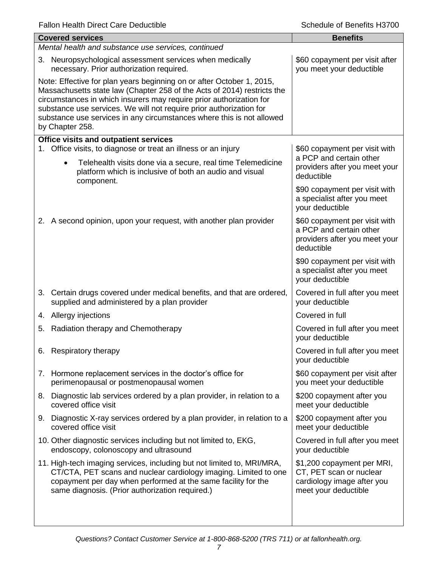| <b>Covered services</b>                                                                                                                                                                                                                                                                                                                                                                    | <b>Benefits</b>                                                                                             |  |  |
|--------------------------------------------------------------------------------------------------------------------------------------------------------------------------------------------------------------------------------------------------------------------------------------------------------------------------------------------------------------------------------------------|-------------------------------------------------------------------------------------------------------------|--|--|
| Mental health and substance use services, continued                                                                                                                                                                                                                                                                                                                                        |                                                                                                             |  |  |
| 3. Neuropsychological assessment services when medically<br>necessary. Prior authorization required.                                                                                                                                                                                                                                                                                       | \$60 copayment per visit after<br>you meet your deductible                                                  |  |  |
| Note: Effective for plan years beginning on or after October 1, 2015,<br>Massachusetts state law (Chapter 258 of the Acts of 2014) restricts the<br>circumstances in which insurers may require prior authorization for<br>substance use services. We will not require prior authorization for<br>substance use services in any circumstances where this is not allowed<br>by Chapter 258. |                                                                                                             |  |  |
| Office visits and outpatient services<br>Office visits, to diagnose or treat an illness or an injury                                                                                                                                                                                                                                                                                       | \$60 copayment per visit with                                                                               |  |  |
| Telehealth visits done via a secure, real time Telemedicine<br>$\bullet$<br>platform which is inclusive of both an audio and visual<br>component.                                                                                                                                                                                                                                          | a PCP and certain other<br>providers after you meet your<br>deductible                                      |  |  |
|                                                                                                                                                                                                                                                                                                                                                                                            | \$90 copayment per visit with<br>a specialist after you meet<br>your deductible                             |  |  |
| 2. A second opinion, upon your request, with another plan provider                                                                                                                                                                                                                                                                                                                         | \$60 copayment per visit with<br>a PCP and certain other<br>providers after you meet your<br>deductible     |  |  |
|                                                                                                                                                                                                                                                                                                                                                                                            | \$90 copayment per visit with<br>a specialist after you meet<br>your deductible                             |  |  |
| 3. Certain drugs covered under medical benefits, and that are ordered,<br>supplied and administered by a plan provider                                                                                                                                                                                                                                                                     | Covered in full after you meet<br>your deductible                                                           |  |  |
| 4. Allergy injections                                                                                                                                                                                                                                                                                                                                                                      | Covered in full                                                                                             |  |  |
| Radiation therapy and Chemotherapy<br>5.                                                                                                                                                                                                                                                                                                                                                   | Covered in full after you meet<br>your deductible                                                           |  |  |
| 6. Respiratory therapy                                                                                                                                                                                                                                                                                                                                                                     | Covered in full after you meet<br>your deductible                                                           |  |  |
| 7. Hormone replacement services in the doctor's office for<br>perimenopausal or postmenopausal women                                                                                                                                                                                                                                                                                       | \$60 copayment per visit after<br>you meet your deductible                                                  |  |  |
| 8. Diagnostic lab services ordered by a plan provider, in relation to a<br>covered office visit                                                                                                                                                                                                                                                                                            | \$200 copayment after you<br>meet your deductible                                                           |  |  |
| 9. Diagnostic X-ray services ordered by a plan provider, in relation to a<br>covered office visit                                                                                                                                                                                                                                                                                          | \$200 copayment after you<br>meet your deductible                                                           |  |  |
| 10. Other diagnostic services including but not limited to, EKG,<br>endoscopy, colonoscopy and ultrasound                                                                                                                                                                                                                                                                                  | Covered in full after you meet<br>your deductible                                                           |  |  |
| 11. High-tech imaging services, including but not limited to, MRI/MRA,<br>CT/CTA, PET scans and nuclear cardiology imaging. Limited to one<br>copayment per day when performed at the same facility for the<br>same diagnosis. (Prior authorization required.)                                                                                                                             | \$1,200 copayment per MRI,<br>CT, PET scan or nuclear<br>cardiology image after you<br>meet your deductible |  |  |
|                                                                                                                                                                                                                                                                                                                                                                                            |                                                                                                             |  |  |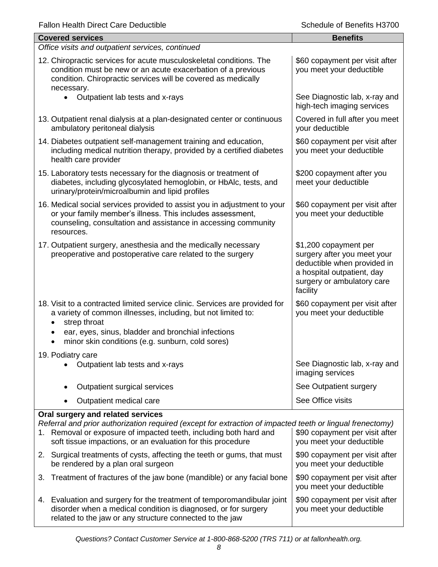| <b>Fallon Health Direct Care Deductible</b> |  |  |
|---------------------------------------------|--|--|
|---------------------------------------------|--|--|

| <b>Fallon Health Direct Care Deductible</b>                                                                                                                                                                                                                                        | Schedule of Benefits H3700                                                                                                                                  |
|------------------------------------------------------------------------------------------------------------------------------------------------------------------------------------------------------------------------------------------------------------------------------------|-------------------------------------------------------------------------------------------------------------------------------------------------------------|
| <b>Covered services</b>                                                                                                                                                                                                                                                            | <b>Benefits</b>                                                                                                                                             |
| Office visits and outpatient services, continued                                                                                                                                                                                                                                   |                                                                                                                                                             |
| 12. Chiropractic services for acute musculoskeletal conditions. The<br>condition must be new or an acute exacerbation of a previous<br>condition. Chiropractic services will be covered as medically<br>necessary.                                                                 | \$60 copayment per visit after<br>you meet your deductible                                                                                                  |
| $\bullet$<br>Outpatient lab tests and x-rays                                                                                                                                                                                                                                       | See Diagnostic lab, x-ray and<br>high-tech imaging services                                                                                                 |
| 13. Outpatient renal dialysis at a plan-designated center or continuous<br>ambulatory peritoneal dialysis                                                                                                                                                                          | Covered in full after you meet<br>your deductible                                                                                                           |
| 14. Diabetes outpatient self-management training and education,<br>including medical nutrition therapy, provided by a certified diabetes<br>health care provider                                                                                                                   | \$60 copayment per visit after<br>you meet your deductible                                                                                                  |
| 15. Laboratory tests necessary for the diagnosis or treatment of<br>diabetes, including glycosylated hemoglobin, or HbAlc, tests, and<br>urinary/protein/microalbumin and lipid profiles                                                                                           | \$200 copayment after you<br>meet your deductible                                                                                                           |
| 16. Medical social services provided to assist you in adjustment to your<br>or your family member's illness. This includes assessment,<br>counseling, consultation and assistance in accessing community<br>resources.                                                             | \$60 copayment per visit after<br>you meet your deductible                                                                                                  |
| 17. Outpatient surgery, anesthesia and the medically necessary<br>preoperative and postoperative care related to the surgery                                                                                                                                                       | \$1,200 copayment per<br>surgery after you meet your<br>deductible when provided in<br>a hospital outpatient, day<br>surgery or ambulatory care<br>facility |
| 18. Visit to a contracted limited service clinic. Services are provided for<br>a variety of common illnesses, including, but not limited to:<br>strep throat                                                                                                                       | \$60 copayment per visit after<br>you meet your deductible                                                                                                  |
| ear, eyes, sinus, bladder and bronchial infections<br>minor skin conditions (e.g. sunburn, cold sores)                                                                                                                                                                             |                                                                                                                                                             |
| 19. Podiatry care<br>Outpatient lab tests and x-rays                                                                                                                                                                                                                               | See Diagnostic lab, x-ray and<br>imaging services                                                                                                           |
| Outpatient surgical services                                                                                                                                                                                                                                                       | See Outpatient surgery                                                                                                                                      |
| Outpatient medical care                                                                                                                                                                                                                                                            | See Office visits                                                                                                                                           |
| Oral surgery and related services<br>Referral and prior authorization required (except for extraction of impacted teeth or lingual frenectomy)<br>1. Removal or exposure of impacted teeth, including both hard and<br>soft tissue impactions, or an evaluation for this procedure | \$90 copayment per visit after<br>you meet your deductible                                                                                                  |
| 2. Surgical treatments of cysts, affecting the teeth or gums, that must<br>be rendered by a plan oral surgeon                                                                                                                                                                      | \$90 copayment per visit after<br>you meet your deductible                                                                                                  |
| Treatment of fractures of the jaw bone (mandible) or any facial bone<br>3.                                                                                                                                                                                                         | \$90 copayment per visit after<br>you meet your deductible                                                                                                  |
| 4. Evaluation and surgery for the treatment of temporomandibular joint<br>disorder when a medical condition is diagnosed, or for surgery                                                                                                                                           | \$90 copayment per visit after<br>you meet your deductible                                                                                                  |

related to the jaw or any structure connected to the jaw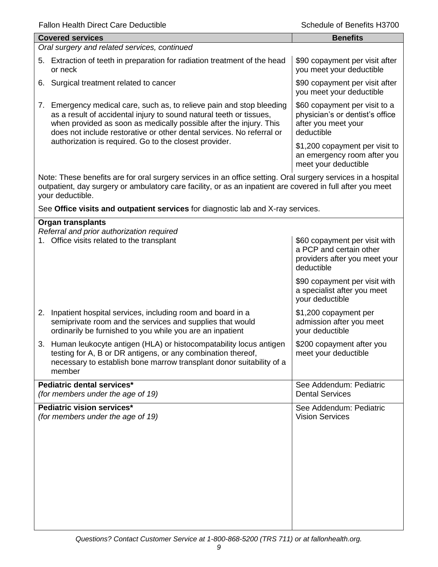| Schedule of Benefits H3700                                                                                                                                                                                                 |  |  |  |
|----------------------------------------------------------------------------------------------------------------------------------------------------------------------------------------------------------------------------|--|--|--|
| <b>Benefits</b>                                                                                                                                                                                                            |  |  |  |
| Oral surgery and related services, continued                                                                                                                                                                               |  |  |  |
| \$90 copayment per visit after<br>you meet your deductible                                                                                                                                                                 |  |  |  |
| \$90 copayment per visit after<br>you meet your deductible                                                                                                                                                                 |  |  |  |
| \$60 copayment per visit to a<br>physician's or dentist's office<br>after you meet your<br>deductible                                                                                                                      |  |  |  |
| \$1,200 copayment per visit to<br>an emergency room after you<br>meet your deductible                                                                                                                                      |  |  |  |
| Note: These benefits are for oral surgery services in an office setting. Oral surgery services in a hospital<br>outpatient, day surgery or ambulatory care facility, or as an inpatient are covered in full after you meet |  |  |  |
| See Office visits and outpatient services for diagnostic lab and X-ray services.                                                                                                                                           |  |  |  |
|                                                                                                                                                                                                                            |  |  |  |
| \$60 copayment per visit with<br>a PCP and certain other<br>providers after you meet your<br>deductible                                                                                                                    |  |  |  |
| \$90 copayment per visit with<br>a specialist after you meet<br>your deductible                                                                                                                                            |  |  |  |
| \$1,200 copayment per<br>admission after you meet<br>your deductible                                                                                                                                                       |  |  |  |
| \$200 copayment after you<br>meet your deductible                                                                                                                                                                          |  |  |  |
| See Addendum: Pediatric<br><b>Dental Services</b>                                                                                                                                                                          |  |  |  |
| See Addendum: Pediatric<br><b>Vision Services</b>                                                                                                                                                                          |  |  |  |
|                                                                                                                                                                                                                            |  |  |  |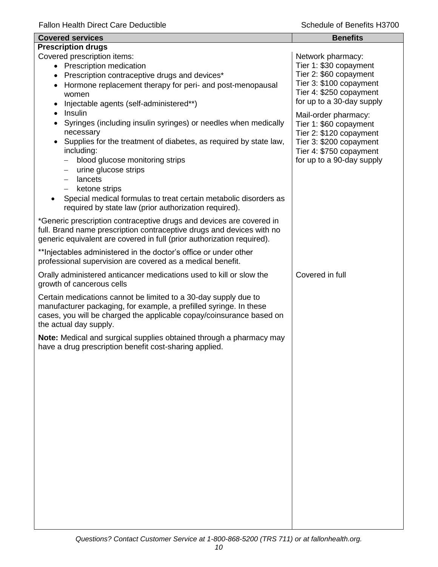| <b>Covered services</b>                                                                                                                                                                                                                                                                                                                                                                                                                                             | <b>Benefits</b>                                                                                                                                              |  |  |
|---------------------------------------------------------------------------------------------------------------------------------------------------------------------------------------------------------------------------------------------------------------------------------------------------------------------------------------------------------------------------------------------------------------------------------------------------------------------|--------------------------------------------------------------------------------------------------------------------------------------------------------------|--|--|
| <b>Prescription drugs</b>                                                                                                                                                                                                                                                                                                                                                                                                                                           |                                                                                                                                                              |  |  |
| Covered prescription items:<br>• Prescription medication<br>Prescription contraceptive drugs and devices*<br>$\bullet$<br>Hormone replacement therapy for peri- and post-menopausal<br>$\bullet$<br>women<br>Injectable agents (self-administered**)                                                                                                                                                                                                                | Network pharmacy:<br>Tier 1: \$30 copayment<br>Tier 2: \$60 copayment<br>Tier 3: \$100 copayment<br>Tier 4: \$250 copayment<br>for up to a 30-day supply     |  |  |
| Insulin<br>$\bullet$<br>Syringes (including insulin syringes) or needles when medically<br>necessary<br>Supplies for the treatment of diabetes, as required by state law,<br>including:<br>blood glucose monitoring strips<br>urine glucose strips<br>$\qquad \qquad -$<br>lancets<br>$\overline{\phantom{m}}$<br>ketone strips<br>$-$<br>Special medical formulas to treat certain metabolic disorders as<br>required by state law (prior authorization required). | Mail-order pharmacy:<br>Tier 1: \$60 copayment<br>Tier 2: \$120 copayment<br>Tier 3: \$200 copayment<br>Tier 4: \$750 copayment<br>for up to a 90-day supply |  |  |
| *Generic prescription contraceptive drugs and devices are covered in<br>full. Brand name prescription contraceptive drugs and devices with no<br>generic equivalent are covered in full (prior authorization required).                                                                                                                                                                                                                                             |                                                                                                                                                              |  |  |
| ** Injectables administered in the doctor's office or under other<br>professional supervision are covered as a medical benefit.                                                                                                                                                                                                                                                                                                                                     |                                                                                                                                                              |  |  |
| Orally administered anticancer medications used to kill or slow the<br>growth of cancerous cells                                                                                                                                                                                                                                                                                                                                                                    | Covered in full                                                                                                                                              |  |  |
| Certain medications cannot be limited to a 30-day supply due to<br>manufacturer packaging, for example, a prefilled syringe. In these<br>cases, you will be charged the applicable copay/coinsurance based on<br>the actual day supply.                                                                                                                                                                                                                             |                                                                                                                                                              |  |  |
| Note: Medical and surgical supplies obtained through a pharmacy may<br>have a drug prescription benefit cost-sharing applied.                                                                                                                                                                                                                                                                                                                                       |                                                                                                                                                              |  |  |
|                                                                                                                                                                                                                                                                                                                                                                                                                                                                     |                                                                                                                                                              |  |  |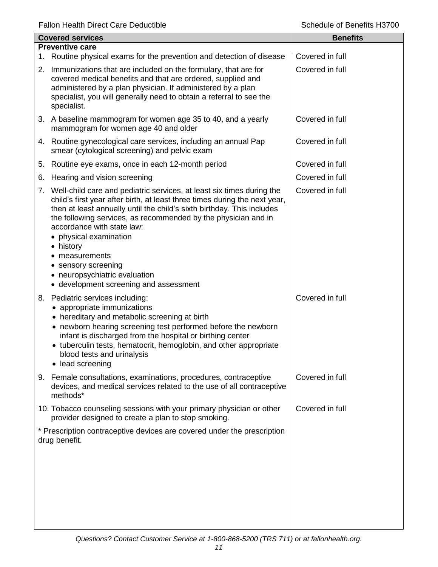| <b>Covered services</b> |                                                                                                                                                                                                                                                                                                                                                                                                                                                                                           | <b>Benefits</b> |
|-------------------------|-------------------------------------------------------------------------------------------------------------------------------------------------------------------------------------------------------------------------------------------------------------------------------------------------------------------------------------------------------------------------------------------------------------------------------------------------------------------------------------------|-----------------|
|                         | <b>Preventive care</b>                                                                                                                                                                                                                                                                                                                                                                                                                                                                    |                 |
|                         | 1. Routine physical exams for the prevention and detection of disease                                                                                                                                                                                                                                                                                                                                                                                                                     | Covered in full |
|                         | 2. Immunizations that are included on the formulary, that are for<br>covered medical benefits and that are ordered, supplied and<br>administered by a plan physician. If administered by a plan<br>specialist, you will generally need to obtain a referral to see the<br>specialist.                                                                                                                                                                                                     | Covered in full |
|                         | 3. A baseline mammogram for women age 35 to 40, and a yearly<br>mammogram for women age 40 and older                                                                                                                                                                                                                                                                                                                                                                                      | Covered in full |
|                         | 4. Routine gynecological care services, including an annual Pap<br>smear (cytological screening) and pelvic exam                                                                                                                                                                                                                                                                                                                                                                          | Covered in full |
| 5.                      | Routine eye exams, once in each 12-month period                                                                                                                                                                                                                                                                                                                                                                                                                                           | Covered in full |
| 6.                      | Hearing and vision screening                                                                                                                                                                                                                                                                                                                                                                                                                                                              | Covered in full |
|                         | 7. Well-child care and pediatric services, at least six times during the<br>child's first year after birth, at least three times during the next year,<br>then at least annually until the child's sixth birthday. This includes<br>the following services, as recommended by the physician and in<br>accordance with state law:<br>• physical examination<br>• history<br>measurements<br>• sensory screening<br>• neuropsychiatric evaluation<br>• development screening and assessment | Covered in full |
|                         | 8. Pediatric services including:<br>appropriate immunizations<br>• hereditary and metabolic screening at birth<br>• newborn hearing screening test performed before the newborn<br>infant is discharged from the hospital or birthing center<br>• tuberculin tests, hematocrit, hemoglobin, and other appropriate<br>blood tests and urinalysis<br>lead screening                                                                                                                         | Covered in full |
|                         | 9. Female consultations, examinations, procedures, contraceptive<br>devices, and medical services related to the use of all contraceptive<br>methods*                                                                                                                                                                                                                                                                                                                                     | Covered in full |
|                         | 10. Tobacco counseling sessions with your primary physician or other<br>provider designed to create a plan to stop smoking.                                                                                                                                                                                                                                                                                                                                                               | Covered in full |
|                         | * Prescription contraceptive devices are covered under the prescription<br>drug benefit.                                                                                                                                                                                                                                                                                                                                                                                                  |                 |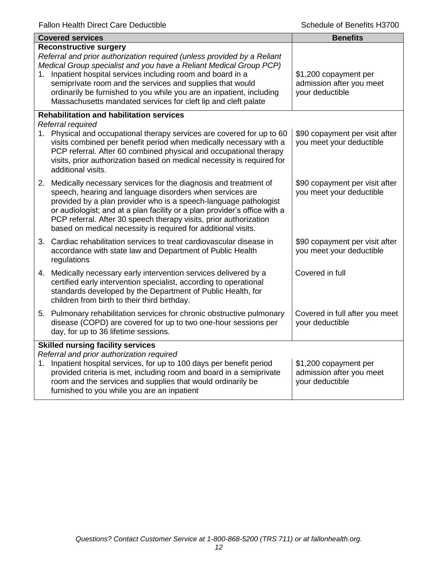| <b>Covered services</b>                                                                                                                                                                                                                                                                                                                                                                                                                               | <b>Benefits</b>                                                      |
|-------------------------------------------------------------------------------------------------------------------------------------------------------------------------------------------------------------------------------------------------------------------------------------------------------------------------------------------------------------------------------------------------------------------------------------------------------|----------------------------------------------------------------------|
| <b>Reconstructive surgery</b><br>Referral and prior authorization required (unless provided by a Reliant<br>Medical Group specialist and you have a Reliant Medical Group PCP)<br>1. Inpatient hospital services including room and board in a<br>semiprivate room and the services and supplies that would<br>ordinarily be furnished to you while you are an inpatient, including<br>Massachusetts mandated services for cleft lip and cleft palate | \$1,200 copayment per<br>admission after you meet<br>your deductible |
| <b>Rehabilitation and habilitation services</b><br>Referral required                                                                                                                                                                                                                                                                                                                                                                                  |                                                                      |
| 1. Physical and occupational therapy services are covered for up to 60<br>visits combined per benefit period when medically necessary with a<br>PCP referral. After 60 combined physical and occupational therapy<br>visits, prior authorization based on medical necessity is required for<br>additional visits.                                                                                                                                     | \$90 copayment per visit after<br>you meet your deductible           |
| 2. Medically necessary services for the diagnosis and treatment of<br>speech, hearing and language disorders when services are<br>provided by a plan provider who is a speech-language pathologist<br>or audiologist; and at a plan facility or a plan provider's office with a<br>PCP referral. After 30 speech therapy visits, prior authorization<br>based on medical necessity is required for additional visits.                                 | \$90 copayment per visit after<br>you meet your deductible           |
| 3. Cardiac rehabilitation services to treat cardiovascular disease in<br>accordance with state law and Department of Public Health<br>regulations                                                                                                                                                                                                                                                                                                     | \$90 copayment per visit after<br>you meet your deductible           |
| 4. Medically necessary early intervention services delivered by a<br>certified early intervention specialist, according to operational<br>standards developed by the Department of Public Health, for<br>children from birth to their third birthday.                                                                                                                                                                                                 | Covered in full                                                      |
| 5. Pulmonary rehabilitation services for chronic obstructive pulmonary<br>disease (COPD) are covered for up to two one-hour sessions per<br>day, for up to 36 lifetime sessions.                                                                                                                                                                                                                                                                      | Covered in full after you meet<br>your deductible                    |
| <b>Skilled nursing facility services</b><br>Referral and prior authorization required<br>1. Inpatient hospital services, for up to 100 days per benefit period<br>provided criteria is met, including room and board in a semiprivate<br>room and the services and supplies that would ordinarily be<br>furnished to you while you are an inpatient                                                                                                   | \$1,200 copayment per<br>admission after you meet<br>your deductible |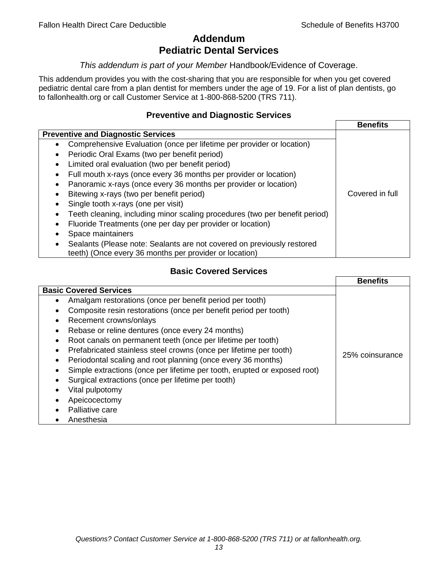# **Addendum Pediatric Dental Services**

# *This addendum is part of your Member* Handbook/Evidence of Coverage.

This addendum provides you with the cost-sharing that you are responsible for when you get covered pediatric dental care from a plan dentist for members under the age of 19. For a list of plan dentists, go to fallonhealth.org or call Customer Service at 1-800-868-5200 (TRS 711).

# **Preventive and Diagnostic Services**

|                                                                                    | <b>Benefits</b> |
|------------------------------------------------------------------------------------|-----------------|
| <b>Preventive and Diagnostic Services</b>                                          |                 |
| Comprehensive Evaluation (once per lifetime per provider or location)<br>$\bullet$ |                 |
| Periodic Oral Exams (two per benefit period)<br>$\bullet$                          |                 |
| Limited oral evaluation (two per benefit period)<br>$\bullet$                      |                 |
| Full mouth x-rays (once every 36 months per provider or location)                  |                 |
| Panoramic x-rays (once every 36 months per provider or location)                   |                 |
| Bitewing x-rays (two per benefit period)<br>٠                                      | Covered in full |
| Single tooth x-rays (one per visit)                                                |                 |
| Teeth cleaning, including minor scaling procedures (two per benefit period)        |                 |
| Fluoride Treatments (one per day per provider or location)                         |                 |
| Space maintainers                                                                  |                 |
| Sealants (Please note: Sealants are not covered on previously restored<br>٠        |                 |
| teeth) (Once every 36 months per provider or location)                             |                 |

# **Basic Covered Services**

|                                                                                                                                                                                                                                                                                                                                                                                                            | <b>Benefits</b> |
|------------------------------------------------------------------------------------------------------------------------------------------------------------------------------------------------------------------------------------------------------------------------------------------------------------------------------------------------------------------------------------------------------------|-----------------|
| <b>Basic Covered Services</b><br>Amalgam restorations (once per benefit period per tooth)<br>Composite resin restorations (once per benefit period per tooth)<br>Recement crowns/onlays<br>Rebase or reline dentures (once every 24 months)                                                                                                                                                                |                 |
| Root canals on permanent teeth (once per lifetime per tooth)<br>Prefabricated stainless steel crowns (once per lifetime per tooth)<br>Periodontal scaling and root planning (once every 36 months)<br>Simple extractions (once per lifetime per tooth, erupted or exposed root)<br>Surgical extractions (once per lifetime per tooth)<br>Vital pulpotomy<br>Apeicocectomy<br>Palliative care<br>Anesthesia | 25% coinsurance |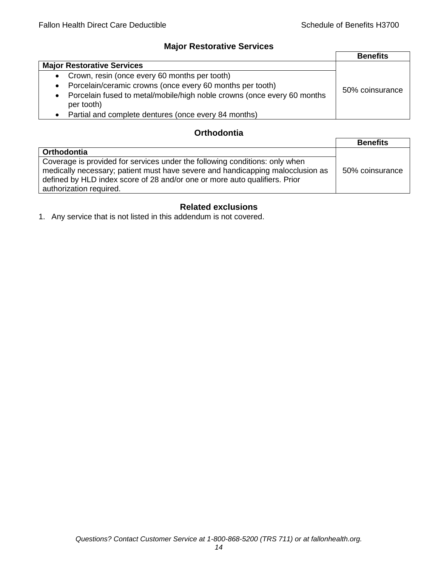# **Major Restorative Services**

|                                                                                                    | <b>Benefits</b> |
|----------------------------------------------------------------------------------------------------|-----------------|
| <b>Major Restorative Services</b>                                                                  |                 |
| • Crown, resin (once every 60 months per tooth)                                                    |                 |
| Porcelain/ceramic crowns (once every 60 months per tooth)<br>$\bullet$                             | 50% coinsurance |
| Porcelain fused to metal/mobile/high noble crowns (once every 60 months<br>$\bullet$<br>per tooth) |                 |
| • Partial and complete dentures (once every 84 months)                                             |                 |

# **Orthodontia**

|                                                                                                                                                                                                                                                                        | <b>Benefits</b> |
|------------------------------------------------------------------------------------------------------------------------------------------------------------------------------------------------------------------------------------------------------------------------|-----------------|
| Orthodontia                                                                                                                                                                                                                                                            |                 |
| Coverage is provided for services under the following conditions: only when<br>medically necessary; patient must have severe and handicapping malocclusion as<br>defined by HLD index score of 28 and/or one or more auto qualifiers. Prior<br>authorization required. | 50% coinsurance |

# **Related exclusions**

1. Any service that is not listed in this addendum is not covered.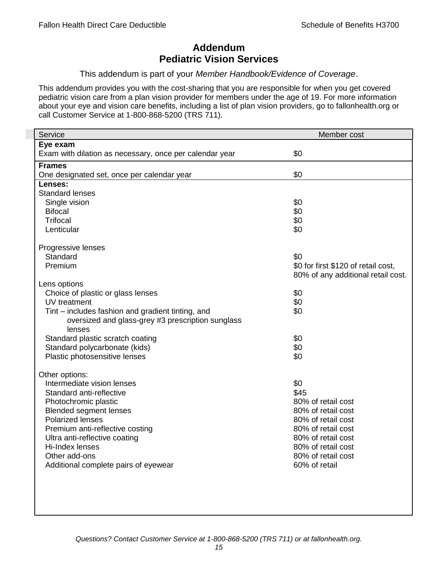# **Addendum Pediatric Vision Services**

# This addendum is part of your *Member Handbook/Evidence of Coverage*.

This addendum provides you with the cost-sharing that you are responsible for when you get covered pediatric vision care from a plan vision provider for members under the age of 19. For more information about your eye and vision care benefits, including a list of plan vision providers, go to fallonhealth.org or call Customer Service at 1-800-868-5200 (TRS 711).

| Service                                                 | Member cost                         |
|---------------------------------------------------------|-------------------------------------|
| Eye exam                                                |                                     |
| Exam with dilation as necessary, once per calendar year | \$0                                 |
| <b>Frames</b>                                           |                                     |
| One designated set, once per calendar year              | \$0                                 |
| Lenses:                                                 |                                     |
| <b>Standard lenses</b>                                  |                                     |
| Single vision                                           | \$0                                 |
| <b>Bifocal</b>                                          | \$0                                 |
| <b>Trifocal</b>                                         | \$0                                 |
| Lenticular                                              | \$0                                 |
| Progressive lenses                                      |                                     |
| Standard                                                | \$0                                 |
| Premium                                                 | \$0 for first \$120 of retail cost, |
|                                                         | 80% of any additional retail cost.  |
| Lens options                                            |                                     |
| Choice of plastic or glass lenses                       | \$0                                 |
| UV treatment                                            | \$0                                 |
| Tint – includes fashion and gradient tinting, and       | \$0                                 |
| oversized and glass-grey #3 prescription sunglass       |                                     |
| lenses                                                  |                                     |
| Standard plastic scratch coating                        | \$0                                 |
| Standard polycarbonate (kids)                           | \$0                                 |
| Plastic photosensitive lenses                           | \$0                                 |
| Other options:                                          |                                     |
| Intermediate vision lenses                              | \$0                                 |
| Standard anti-reflective                                | \$45                                |
| Photochromic plastic                                    | 80% of retail cost                  |
| <b>Blended segment lenses</b>                           | 80% of retail cost                  |
| <b>Polarized lenses</b>                                 | 80% of retail cost                  |
| Premium anti-reflective costing                         | 80% of retail cost                  |
| Ultra anti-reflective coating                           | 80% of retail cost                  |
| Hi-Index lenses                                         | 80% of retail cost                  |
| Other add-ons                                           | 80% of retail cost                  |
| Additional complete pairs of eyewear                    | 60% of retail                       |
|                                                         |                                     |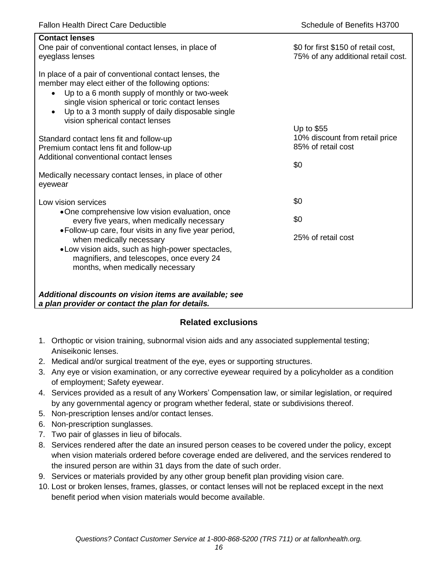| <b>Contact lenses</b><br>One pair of conventional contact lenses, in place of<br>eyeglass lenses                                                                                                                                                                                                                                  | \$0 for first \$150 of retail cost,<br>75% of any additional retail cost. |
|-----------------------------------------------------------------------------------------------------------------------------------------------------------------------------------------------------------------------------------------------------------------------------------------------------------------------------------|---------------------------------------------------------------------------|
| In place of a pair of conventional contact lenses, the<br>member may elect either of the following options:<br>Up to a 6 month supply of monthly or two-week<br>$\bullet$<br>single vision spherical or toric contact lenses<br>Up to a 3 month supply of daily disposable single<br>$\bullet$<br>vision spherical contact lenses |                                                                           |
| Standard contact lens fit and follow-up                                                                                                                                                                                                                                                                                           | Up to \$55<br>10% discount from retail price                              |
| Premium contact lens fit and follow-up                                                                                                                                                                                                                                                                                            | 85% of retail cost                                                        |
| Additional conventional contact lenses                                                                                                                                                                                                                                                                                            |                                                                           |
|                                                                                                                                                                                                                                                                                                                                   | \$0                                                                       |
| Medically necessary contact lenses, in place of other<br>eyewear                                                                                                                                                                                                                                                                  |                                                                           |
| Low vision services                                                                                                                                                                                                                                                                                                               | \$0                                                                       |
| •One comprehensive low vision evaluation, once<br>every five years, when medically necessary                                                                                                                                                                                                                                      | \$0                                                                       |
| • Follow-up care, four visits in any five year period,<br>when medically necessary<br>.Low vision aids, such as high-power spectacles,<br>magnifiers, and telescopes, once every 24<br>months, when medically necessary                                                                                                           | 25% of retail cost                                                        |
| Additional discounts on vision items are available; see<br>a plan provider or contact the plan for details.                                                                                                                                                                                                                       |                                                                           |

# **Related exclusions**

- 1. Orthoptic or vision training, subnormal vision aids and any associated supplemental testing; Aniseikonic lenses.
- 2. Medical and/or surgical treatment of the eye, eyes or supporting structures.
- 3. Any eye or vision examination, or any corrective eyewear required by a policyholder as a condition of employment; Safety eyewear.
- 4. Services provided as a result of any Workers' Compensation law, or similar legislation, or required by any governmental agency or program whether federal, state or subdivisions thereof.
- 5. Non-prescription lenses and/or contact lenses.
- 6. Non-prescription sunglasses.
- 7. Two pair of glasses in lieu of bifocals.
- 8. Services rendered after the date an insured person ceases to be covered under the policy, except when vision materials ordered before coverage ended are delivered, and the services rendered to the insured person are within 31 days from the date of such order.
- 9. Services or materials provided by any other group benefit plan providing vision care.
- 10. Lost or broken lenses, frames, glasses, or contact lenses will not be replaced except in the next benefit period when vision materials would become available.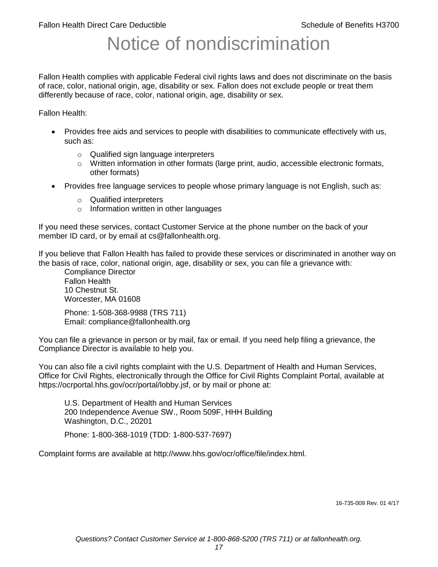# Notice of nondiscrimination

Fallon Health complies with applicable Federal civil rights laws and does not discriminate on the basis of race, color, national origin, age, disability or sex. Fallon does not exclude people or treat them differently because of race, color, national origin, age, disability or sex.

Fallon Health:

- Provides free aids and services to people with disabilities to communicate effectively with us, such as:
	- o Qualified sign language interpreters
	- $\circ$  Written information in other formats (large print, audio, accessible electronic formats, other formats)
- Provides free language services to people whose primary language is not English, such as:
	- o Qualified interpreters
	- o Information written in other languages

If you need these services, contact Customer Service at the phone number on the back of your member ID card, or by email at cs@fallonhealth.org.

If you believe that Fallon Health has failed to provide these services or discriminated in another way on the basis of race, color, national origin, age, disability or sex, you can file a grievance with:

Compliance Director Fallon Health 10 Chestnut St. Worcester, MA 01608

Phone: 1-508-368-9988 (TRS 711) Email: compliance@fallonhealth.org

You can file a grievance in person or by mail, fax or email. If you need help filing a grievance, the Compliance Director is available to help you.

You can also file a civil rights complaint with the U.S. Department of Health and Human Services, Office for Civil Rights, electronically through the Office for Civil Rights Complaint Portal, available at https://ocrportal.hhs.gov/ocr/portal/lobby.jsf, or by mail or phone at:

U.S. Department of Health and Human Services 200 Independence Avenue SW., Room 509F, HHH Building Washington, D.C., 20201

Phone: 1-800-368-1019 (TDD: 1-800-537-7697)

Complaint forms are available at http://www.hhs.gov/ocr/office/file/index.html.

16-735-009 Rev. 01 4/17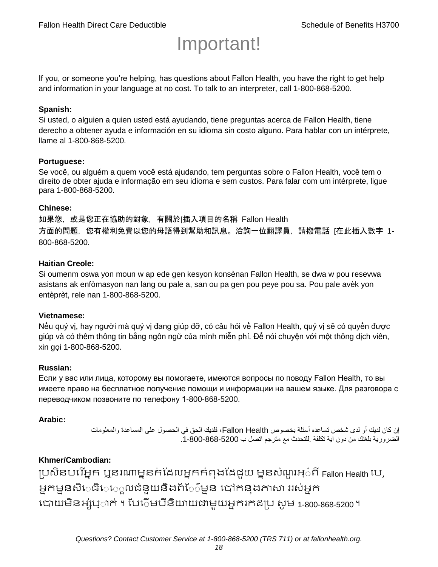# Important!

If you, or someone you're helping, has questions about Fallon Health, you have the right to get help and information in your language at no cost. To talk to an interpreter, call 1-800-868-5200.

#### **Spanish:**

Si usted, o alguien a quien usted está ayudando, tiene preguntas acerca de Fallon Health, tiene derecho a obtener ayuda e información en su idioma sin costo alguno. Para hablar con un intérprete, llame al 1-800-868-5200.

#### **Portuguese:**

Se você, ou alguém a quem você está ajudando, tem perguntas sobre o Fallon Health, você tem o direito de obter ajuda e informação em seu idioma e sem custos. Para falar com um intérprete, ligue para 1-800-868-5200.

#### **Chinese:**

如果您,或是您正在協助的對象,有關於[插入項目的名稱 Fallon Health 方面的問題, 您有權利免費以您的母語得到幫助和訊息。洽詢一位翻譯員, 請撥電話 [在此插入數字 1-800-868-5200.

#### **Haitian Creole:**

Si oumenm oswa yon moun w ap ede gen kesyon konsènan Fallon Health, se dwa w pou resevwa asistans ak enfòmasyon nan lang ou pale a, san ou pa gen pou peye pou sa. Pou pale avèk yon entèprèt, rele nan 1-800-868-5200.

#### **Vietnamese:**

Nếu quý vị, hay người mà quý vị đang giúp đỡ, có câu hỏi về Fallon Health, quý vị sẽ có quyền được giúp và có thêm thông tin bằng ngôn ngữ của mình miễn phí. Để nói chuyện với một thông dịch viên, xin gọi 1-800-868-5200.

#### **Russian:**

Если у вас или лица, которому вы помогаете, имеются вопросы по поводу Fallon Health, то вы имеете право на бесплатное получение помощи и информации на вашем языке. Для разговора с переводчиком позвоните по телефону 1-800-868-5200.

#### **Arabic:**

إن كان لديك أو لدى شخص تساعده أسئلة بخصوص Health Fallon، فلديك الحق في الحصول على المساعدة والمعلومات الضرورية بلغتك من دون اية تكلفة .للتحدث مع مترجم اتصل ب .1-800-868-5200

#### **Khmer/Cambodian:**

ប្រសិនបរើអ្នក ឬនរណាម្ននក់ដែលអ្នកកំពុងដែជយ ម្ននសំណួរអ្៎ពី Fallon Health រប, អ្នកម្ននសិេធិេ្រុលជំនួយនិងព័ែ៌ម្នន បៅកនុងភាសា ររស់អ្នក រោយម្ិនអ្ស់រ្ំ ក់ ។ ដររំម្ រនី ិយាយជាម្ួយអ្នក កែប្រ សូ ម្ 1-800-868-5200 ។